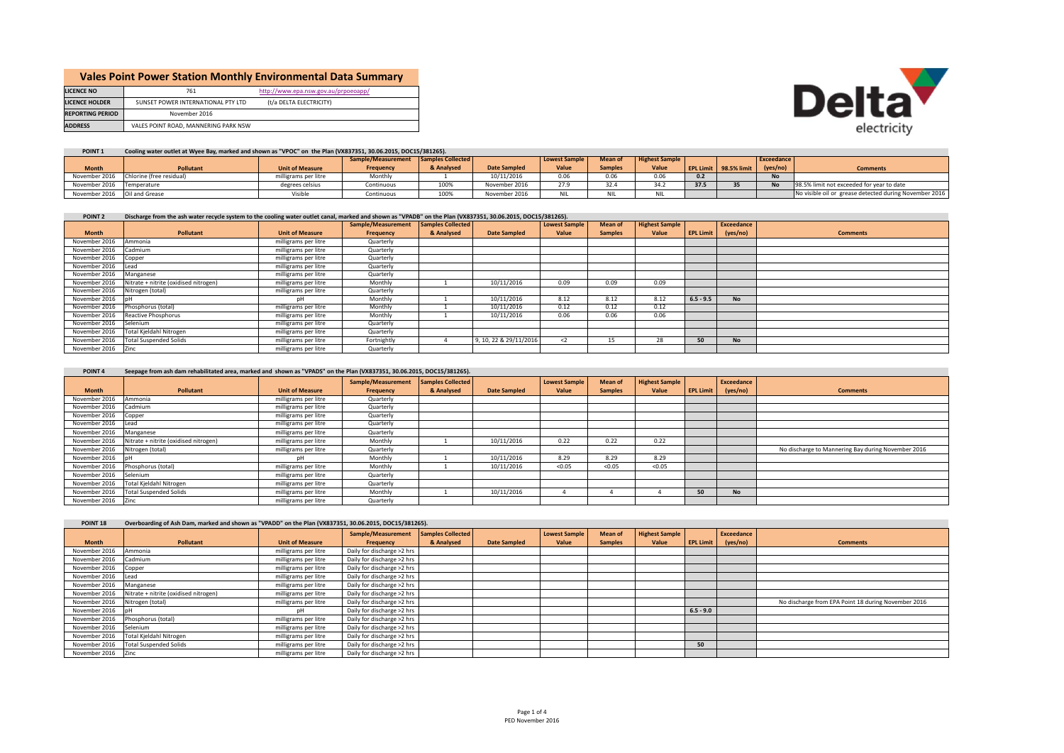|                         |                                      | <b>Vales Point Power Station Monthly Environmental Data Summary</b> |
|-------------------------|--------------------------------------|---------------------------------------------------------------------|
| <b>LICENCE NO</b>       | 761                                  | http://www.epa.nsw.gov.au/prpoeoapp/                                |
| <b>LICENCE HOLDER</b>   | SUNSET POWER INTERNATIONAL PTY LTD   | (t/a DELTA ELECTRICITY)                                             |
| <b>REPORTING PERIOD</b> | November 2016                        |                                                                     |
| <b>ADDRESS</b>          | VALES POINT ROAD, MANNERING PARK NSW |                                                                     |



٠

## POINT 1 Cooling water outlet at Wyee Bay, marked and shown as "VPOC" on the Plan (VX837351, 30.06.2015, DOC15/381265).

|                                 |                                        |                        | Sample/Measurement Samples Collected |            |                     | <b>Lowest Sample</b> | <b>Mean of</b> | <b>Highest Sample</b> |      |                       | <b>Exceedance</b> |                                                        |
|---------------------------------|----------------------------------------|------------------------|--------------------------------------|------------|---------------------|----------------------|----------------|-----------------------|------|-----------------------|-------------------|--------------------------------------------------------|
| <b>Month</b>                    | <b>Pollutant</b>                       | <b>Unit of Measure</b> | <b>Frequency</b>                     | & Analysed | <b>Date Sampled</b> | Value                | <b>Samples</b> | Value                 |      | EPL Limit 98.5% limit | (yes/no)          | <b>Comments</b>                                        |
|                                 | November 2016 Chlorine (free residual) | milligrams per litre   | Monthly                              |            | 10/11/2016          | 0.06                 | 0.06           | 0.06                  | 0.2  |                       | <b>No</b>         |                                                        |
| November 2016 Temperature       |                                        | degrees celsius        | Continuous                           | 100%       | November 2016       | 27.9                 | 32.4           | 312                   | 37.5 |                       | <b>No</b>         | 98.5% limit not exceeded for year to date              |
| November 2016    Qil and Grease |                                        | `'isible               | Continuous                           | 100%       | November 2016       | <b>NII</b>           | <b>NII</b>     |                       |      |                       |                   | No visible oil or grease detected during November 2016 |

## POINT 2 Discharge from the ash water recycle system to the cooling water outlet canal, marked and shown as "VPADB" on the Plan (VX837351, 30.06.2015, DOC15/381265).

|                      |                                       |                        | Sample/Measurement | <b>Samples Collected</b> |                        | <b>Lowest Sample</b> | Mean of        | <b>Highest Sample</b> |                  | Exceedance |                 |
|----------------------|---------------------------------------|------------------------|--------------------|--------------------------|------------------------|----------------------|----------------|-----------------------|------------------|------------|-----------------|
| <b>Month</b>         | <b>Pollutant</b>                      | <b>Unit of Measure</b> | Frequency          | & Analysed               | <b>Date Sampled</b>    | Value                | <b>Samples</b> | Value                 | <b>EPL Limit</b> | (yes/no)   | <b>Comments</b> |
| November 2016        | Ammonia                               | milligrams per litre   | Quarterly          |                          |                        |                      |                |                       |                  |            |                 |
| November 2016        | Cadmium                               | milligrams per litre   | Quarterly          |                          |                        |                      |                |                       |                  |            |                 |
| November 2016        | Copper                                | milligrams per litre   | Quarterly          |                          |                        |                      |                |                       |                  |            |                 |
| November 2016        | <b>ILead</b>                          | milligrams per litre   | Quarterly          |                          |                        |                      |                |                       |                  |            |                 |
| November 2016        | Manganese                             | milligrams per litre   | Quarterly          |                          |                        |                      |                |                       |                  |            |                 |
| November 2016        | Nitrate + nitrite (oxidised nitrogen) | milligrams per litre   | Monthly            |                          | 10/11/2016             | 0.09                 | 0.09           | 0.09                  |                  |            |                 |
| November 2016        | Nitrogen (total)                      | milligrams per litre   | Quarterly          |                          |                        |                      |                |                       |                  |            |                 |
| November 2016 pH     |                                       | nН                     | Monthly            |                          | 10/11/2016             | 8.12                 | 8.12           | 8.12                  | $6.5 - 9.5$      | <b>No</b>  |                 |
| November 2016        | Phosphorus (total)                    | milligrams per litre   | Monthly            |                          | 10/11/2016             | 0.12                 | 0.12           | 0.12                  |                  |            |                 |
| November 2016        | Reactive Phosphorus                   | milligrams per litre   | Monthly            |                          | 10/11/2016             | 0.06                 | 0.06           | 0.06                  |                  |            |                 |
| November 2016        | Selenium                              | milligrams per litre   | Quarterly          |                          |                        |                      |                |                       |                  |            |                 |
| November 2016        | Total Kjeldahl Nitrogen               | milligrams per litre   | Quarterly          |                          |                        |                      |                |                       |                  |            |                 |
| November 2016        | <b>Total Suspended Solids</b>         | milligrams per litre   | Fortnightly        |                          | 9, 10, 22 & 29/11/2016 | $\langle$ 2          | 15             | 28                    | 50               | <b>No</b>  |                 |
| November 2016   Zinc |                                       | milligrams per litre   | Quarterly          |                          |                        |                      |                |                       |                  |            |                 |

## POINT 4 Seepage from ash dam rehabilitated area, marked and shown as "VPADS" on the Plan (VX837351, 30.06.2015, DOC15/381265).

|               |                                       |                        | Sample/Measurement | Samples Collected |                     | <b>Lowest Sample</b> | Mean of        | <b>Highest Sample</b> |                  | Exceedance |                                                    |
|---------------|---------------------------------------|------------------------|--------------------|-------------------|---------------------|----------------------|----------------|-----------------------|------------------|------------|----------------------------------------------------|
| <b>Month</b>  | Pollutant                             | <b>Unit of Measure</b> | Frequency          | & Analysed        | <b>Date Sampled</b> | Value                | <b>Samples</b> | Value                 | <b>EPL Limit</b> | (yes/no)   | <b>Comments</b>                                    |
| November 2016 | Ammonia                               | milligrams per litre   | Quarterly          |                   |                     |                      |                |                       |                  |            |                                                    |
| November 2016 | Cadmium                               | milligrams per litre   | Quarterly          |                   |                     |                      |                |                       |                  |            |                                                    |
| November 2016 | Copper                                | milligrams per litre   | Quarterly          |                   |                     |                      |                |                       |                  |            |                                                    |
| November 2016 | Lead                                  | milligrams per litre   | Quarterly          |                   |                     |                      |                |                       |                  |            |                                                    |
| November 2016 | Manganese                             | milligrams per litre   | Quarterly          |                   |                     |                      |                |                       |                  |            |                                                    |
| November 2016 | Nitrate + nitrite (oxidised nitrogen) | milligrams per litre   | Monthly            |                   | 10/11/2016          | 0.22                 | 0.22           | 0.22                  |                  |            |                                                    |
| November 2016 | Nitrogen (total)                      | milligrams per litre   | Quarterly          |                   |                     |                      |                |                       |                  |            | No discharge to Mannering Bay during November 2016 |
| November 2016 |                                       | nН                     | Monthly            |                   | 10/11/2016          | 8.29                 | 8.29           | 8.29                  |                  |            |                                                    |
| November 2016 | Phosphorus (total)                    | milligrams per litre   | Monthly            |                   | 10/11/2016          | < 0.05               | < 0.05         | < 0.05                |                  |            |                                                    |
| November 2016 | Selenium                              | milligrams per litre   | Quarterly          |                   |                     |                      |                |                       |                  |            |                                                    |
| November 2016 | Total Kjeldahl Nitrogen               | milligrams per litre   | Quarterly          |                   |                     |                      |                |                       |                  |            |                                                    |
| November 2016 | <b>Total Suspended Solids</b>         | milligrams per litre   | Monthly            |                   | 10/11/2016          |                      |                |                       | 50               | <b>No</b>  |                                                    |
| November 2016 | Zinc                                  | milligrams per litre   | Quarterly          |                   |                     |                      |                |                       |                  |            |                                                    |

| POINT <sub>18</sub> | Overboarding of Ash Dam, marked and shown as "VPADD" on the Plan (VX837351, 30.06.2015, DOC15/381265). |                        |                            |                   |                     |                      |                |                       |                  |            |                                                     |
|---------------------|--------------------------------------------------------------------------------------------------------|------------------------|----------------------------|-------------------|---------------------|----------------------|----------------|-----------------------|------------------|------------|-----------------------------------------------------|
|                     |                                                                                                        |                        | Sample/Measurement         | Samples Collected |                     | <b>Lowest Sample</b> | Mean of        | <b>Highest Sample</b> |                  | Exceedance |                                                     |
| <b>Month</b>        | Pollutant                                                                                              | <b>Unit of Measure</b> | Frequency                  | & Analysed        | <b>Date Sampled</b> | Value                | <b>Samples</b> | Value                 | <b>EPL Limit</b> | (yes/no)   | <b>Comments</b>                                     |
| November 2016       | Ammonia                                                                                                | milligrams per litre   | Daily for discharge >2 hrs |                   |                     |                      |                |                       |                  |            |                                                     |
| November 2016       | Cadmium                                                                                                | milligrams per litre   | Daily for discharge >2 hrs |                   |                     |                      |                |                       |                  |            |                                                     |
| November 2016       | Copper                                                                                                 | milligrams per litre   | Daily for discharge >2 hrs |                   |                     |                      |                |                       |                  |            |                                                     |
| November 2016       | ead                                                                                                    | milligrams per litre   | Daily for discharge >2 hrs |                   |                     |                      |                |                       |                  |            |                                                     |
| November 2016       | Manganese                                                                                              | milligrams per litre   | Daily for discharge >2 hrs |                   |                     |                      |                |                       |                  |            |                                                     |
| November 2016       | Nitrate + nitrite (oxidised nitrogen)                                                                  | milligrams per litre   | Daily for discharge >2 hrs |                   |                     |                      |                |                       |                  |            |                                                     |
| November 2016       | Nitrogen (total)                                                                                       | milligrams per litre   | Daily for discharge >2 hrs |                   |                     |                      |                |                       |                  |            | No discharge from EPA Point 18 during November 2016 |
| November 2016       |                                                                                                        | nН                     | Daily for discharge >2 hrs |                   |                     |                      |                |                       | $6.5 - 9.0$      |            |                                                     |
| November 2016       | Phosphorus (total)                                                                                     | milligrams per litre   | Daily for discharge >2 hrs |                   |                     |                      |                |                       |                  |            |                                                     |
| November 2016       | Selenium                                                                                               | milligrams per litre   | Daily for discharge >2 hrs |                   |                     |                      |                |                       |                  |            |                                                     |
| November 2016       | Total Kjeldahl Nitrogen                                                                                | milligrams per litre   | Daily for discharge >2 hrs |                   |                     |                      |                |                       |                  |            |                                                     |
| November 2016       | <b>Total Suspended Solids</b>                                                                          | milligrams per litre   | Daily for discharge >2 hrs |                   |                     |                      |                |                       | 50               |            |                                                     |
| November 2016       | - Zinc                                                                                                 | milligrams per litre   | Daily for discharge >2 hrs |                   |                     |                      |                |                       |                  |            |                                                     |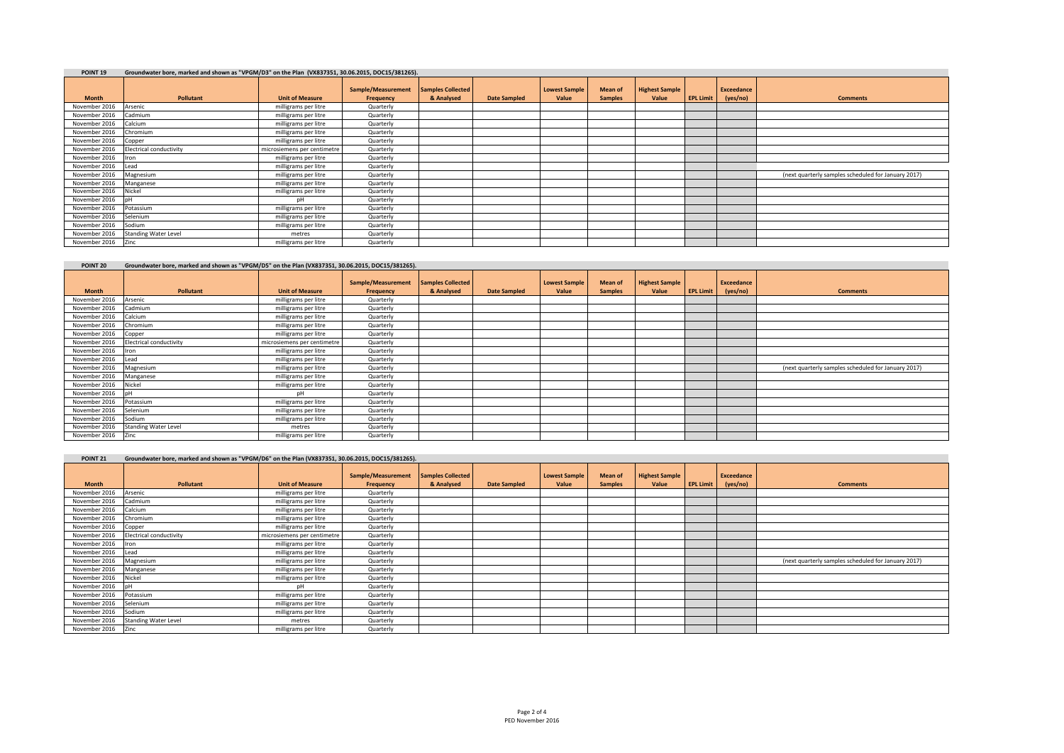| POINT <sub>19</sub> | Groundwater bore, marked and shown as "VPGM/D3" on the Plan (VX837351, 30.06.2015, DOC15/381265). |                             |                                 |                                        |                     |                               |                           |                                |                  |                               |                                                     |
|---------------------|---------------------------------------------------------------------------------------------------|-----------------------------|---------------------------------|----------------------------------------|---------------------|-------------------------------|---------------------------|--------------------------------|------------------|-------------------------------|-----------------------------------------------------|
| <b>Month</b>        | Pollutant                                                                                         | <b>Unit of Measure</b>      | Sample/Measurement<br>Frequency | <b>Samples Collected</b><br>& Analysed | <b>Date Sampled</b> | <b>Lowest Sample</b><br>Value | Mean of<br><b>Samples</b> | <b>Highest Sample</b><br>Value | <b>EPL Limit</b> | <b>Exceedance</b><br>(yes/no) | <b>Comments</b>                                     |
| November 2016       | Arsenic                                                                                           | milligrams per litre        | Quarterly                       |                                        |                     |                               |                           |                                |                  |                               |                                                     |
| November 2016       | Cadmium                                                                                           | milligrams per litre        | Quarterly                       |                                        |                     |                               |                           |                                |                  |                               |                                                     |
| November 2016       | Calcium                                                                                           | milligrams per litre        | Quarterly                       |                                        |                     |                               |                           |                                |                  |                               |                                                     |
| November 2016       | Chromium                                                                                          | milligrams per litre        | Quarterly                       |                                        |                     |                               |                           |                                |                  |                               |                                                     |
| November 2016       | Copper                                                                                            | milligrams per litre        | Quarterly                       |                                        |                     |                               |                           |                                |                  |                               |                                                     |
| November 2016       | <b>Electrical conductivity</b>                                                                    | microsiemens per centimetre | Quarterly                       |                                        |                     |                               |                           |                                |                  |                               |                                                     |
| November 2016       | Iron                                                                                              | milligrams per litre        | Quarterly                       |                                        |                     |                               |                           |                                |                  |                               |                                                     |
| November 2016       | Lead                                                                                              | milligrams per litre        | Quarterly                       |                                        |                     |                               |                           |                                |                  |                               |                                                     |
| November 2016       | Magnesium                                                                                         | milligrams per litre        | Quarterly                       |                                        |                     |                               |                           |                                |                  |                               | (next quarterly samples scheduled for January 2017) |
| November 2016       | Manganese                                                                                         | milligrams per litre        | Quarterly                       |                                        |                     |                               |                           |                                |                  |                               |                                                     |
| November 2016       | Vickel                                                                                            | milligrams per litre        | Quarterly                       |                                        |                     |                               |                           |                                |                  |                               |                                                     |
| November 2016       |                                                                                                   | pН                          | Quarterly                       |                                        |                     |                               |                           |                                |                  |                               |                                                     |
| November 2016       | Potassium                                                                                         | milligrams per litre        | Quarterly                       |                                        |                     |                               |                           |                                |                  |                               |                                                     |
| November 2016       | Selenium                                                                                          | milligrams per litre        | Quarterly                       |                                        |                     |                               |                           |                                |                  |                               |                                                     |
| November 2016       | Sodium                                                                                            | milligrams per litre        | Quarterly                       |                                        |                     |                               |                           |                                |                  |                               |                                                     |
| November 2016       | <b>Standing Water Level</b>                                                                       | metres                      | Quarterly                       |                                        |                     |                               |                           |                                |                  |                               |                                                     |
| November 2016 Zinc  |                                                                                                   | milligrams per litre        | Quarterly                       |                                        |                     |                               |                           |                                |                  |                               |                                                     |

| POINT <sub>20</sub>  | Groundwater bore, marked and shown as "VPGM/D5" on the Plan (VX837351, 30.06.2015, DOC15/381265). |                             |                                 |                                 |                     |                               |                           |                                |                  |                        |                                                     |
|----------------------|---------------------------------------------------------------------------------------------------|-----------------------------|---------------------------------|---------------------------------|---------------------|-------------------------------|---------------------------|--------------------------------|------------------|------------------------|-----------------------------------------------------|
| <b>Month</b>         | Pollutant                                                                                         | <b>Unit of Measure</b>      | Sample/Measurement<br>Frequency | Samples Collected<br>& Analysed | <b>Date Sampled</b> | <b>Lowest Sample</b><br>Value | Mean of<br><b>Samples</b> | <b>Highest Sample</b><br>Value | <b>EPL Limit</b> | Exceedance<br>(yes/no) | <b>Comments</b>                                     |
| November 2016        | Arsenic                                                                                           | milligrams per litre        | Quarterly                       |                                 |                     |                               |                           |                                |                  |                        |                                                     |
| November 2016        | Cadmium                                                                                           | milligrams per litre        | Quarterly                       |                                 |                     |                               |                           |                                |                  |                        |                                                     |
| November 2016        | Calcium                                                                                           | milligrams per litre        | Quarterly                       |                                 |                     |                               |                           |                                |                  |                        |                                                     |
| November 2016        | Chromium                                                                                          | milligrams per litre        | Quarterly                       |                                 |                     |                               |                           |                                |                  |                        |                                                     |
| November 2016        | Copper                                                                                            | milligrams per litre        | Quarterly                       |                                 |                     |                               |                           |                                |                  |                        |                                                     |
| November 2016        | <b>Electrical conductivity</b>                                                                    | microsiemens per centimetre | Quarterly                       |                                 |                     |                               |                           |                                |                  |                        |                                                     |
| November 2016        | Iron                                                                                              | milligrams per litre        | Quarterly                       |                                 |                     |                               |                           |                                |                  |                        |                                                     |
| November 2016        | Lead                                                                                              | milligrams per litre        | Quarterly                       |                                 |                     |                               |                           |                                |                  |                        |                                                     |
| November 2016        | Magnesium                                                                                         | milligrams per litre        | Quarterly                       |                                 |                     |                               |                           |                                |                  |                        | (next quarterly samples scheduled for January 2017) |
| November 2016        | Manganese                                                                                         | milligrams per litre        | Quarterly                       |                                 |                     |                               |                           |                                |                  |                        |                                                     |
| November 2016        | Nickel                                                                                            | milligrams per litre        | Quarterly                       |                                 |                     |                               |                           |                                |                  |                        |                                                     |
| November 2016        | InH                                                                                               | pН                          | Quarterly                       |                                 |                     |                               |                           |                                |                  |                        |                                                     |
| November 2016        | Potassium                                                                                         | milligrams per litre        | Quarterly                       |                                 |                     |                               |                           |                                |                  |                        |                                                     |
| November 2016        | Selenium                                                                                          | milligrams per litre        | Quarterly                       |                                 |                     |                               |                           |                                |                  |                        |                                                     |
| November 2016        | Sodium                                                                                            | milligrams per litre        | Quarterly                       |                                 |                     |                               |                           |                                |                  |                        |                                                     |
| November 2016        | <b>Standing Water Level</b>                                                                       | metres                      | Quarterly                       |                                 |                     |                               |                           |                                |                  |                        |                                                     |
| November 2016   Zinc |                                                                                                   | milligrams per litre        | Quarterly                       |                                 |                     |                               |                           |                                |                  |                        |                                                     |

| POINT <sub>21</sub>  | Groundwater bore, marked and shown as "VPGM/D6" on the Plan (VX837351, 30.06.2015, DOC15/381265). |                             |                                 |                                        |                     |                               |                           |                                |                  |                        |                                                     |
|----------------------|---------------------------------------------------------------------------------------------------|-----------------------------|---------------------------------|----------------------------------------|---------------------|-------------------------------|---------------------------|--------------------------------|------------------|------------------------|-----------------------------------------------------|
| <b>Month</b>         | Pollutant                                                                                         | <b>Unit of Measure</b>      | Sample/Measurement<br>Frequency | <b>Samples Collected</b><br>& Analysed | <b>Date Sampled</b> | <b>Lowest Sample</b><br>Value | Mean of<br><b>Samples</b> | <b>Highest Sample</b><br>Value | <b>EPL Limit</b> | Exceedance<br>(yes/no) | <b>Comments</b>                                     |
| November 2016        | Arsenic                                                                                           | milligrams per litre        | Quarterly                       |                                        |                     |                               |                           |                                |                  |                        |                                                     |
| November 2016        | Cadmium                                                                                           | milligrams per litre        | Quarterly                       |                                        |                     |                               |                           |                                |                  |                        |                                                     |
| November 2016        | <b>Calcium</b>                                                                                    | milligrams per litre        | Quarterly                       |                                        |                     |                               |                           |                                |                  |                        |                                                     |
| November 2016        | Chromium                                                                                          | milligrams per litre        | Quarterly                       |                                        |                     |                               |                           |                                |                  |                        |                                                     |
| November 2016        | Copper                                                                                            | milligrams per litre        | Quarterly                       |                                        |                     |                               |                           |                                |                  |                        |                                                     |
| November 2016        | Electrical conductivity                                                                           | microsiemens per centimetre | Quarterly                       |                                        |                     |                               |                           |                                |                  |                        |                                                     |
| November 2016        | <b>I</b> ron                                                                                      | milligrams per litre        | Quarterly                       |                                        |                     |                               |                           |                                |                  |                        |                                                     |
| November 2016        | Lead                                                                                              | milligrams per litre        | Quarterly                       |                                        |                     |                               |                           |                                |                  |                        |                                                     |
| November 2016        | Magnesium                                                                                         | milligrams per litre        | Quarterly                       |                                        |                     |                               |                           |                                |                  |                        | (next quarterly samples scheduled for January 2017) |
| November 2016        | Manganese                                                                                         | milligrams per litre        | Quarterly                       |                                        |                     |                               |                           |                                |                  |                        |                                                     |
| November 2016        | Nickel                                                                                            | milligrams per litre        | Quarterly                       |                                        |                     |                               |                           |                                |                  |                        |                                                     |
| November 2016        | <b>I</b> nH                                                                                       | nH                          | Quarterly                       |                                        |                     |                               |                           |                                |                  |                        |                                                     |
| November 2016        | Potassium                                                                                         | milligrams per litre        | Quarterly                       |                                        |                     |                               |                           |                                |                  |                        |                                                     |
| November 2016        | Selenium                                                                                          | milligrams per litre        | Quarterly                       |                                        |                     |                               |                           |                                |                  |                        |                                                     |
| November 2016        | Sodium                                                                                            | milligrams per litre        | Quarterly                       |                                        |                     |                               |                           |                                |                  |                        |                                                     |
| November 2016        | <b>Standing Water Level</b>                                                                       | metres                      | Quarterly                       |                                        |                     |                               |                           |                                |                  |                        |                                                     |
| November 2016   Zinc |                                                                                                   | milligrams per litre        | Quarterly                       |                                        |                     |                               |                           |                                |                  |                        |                                                     |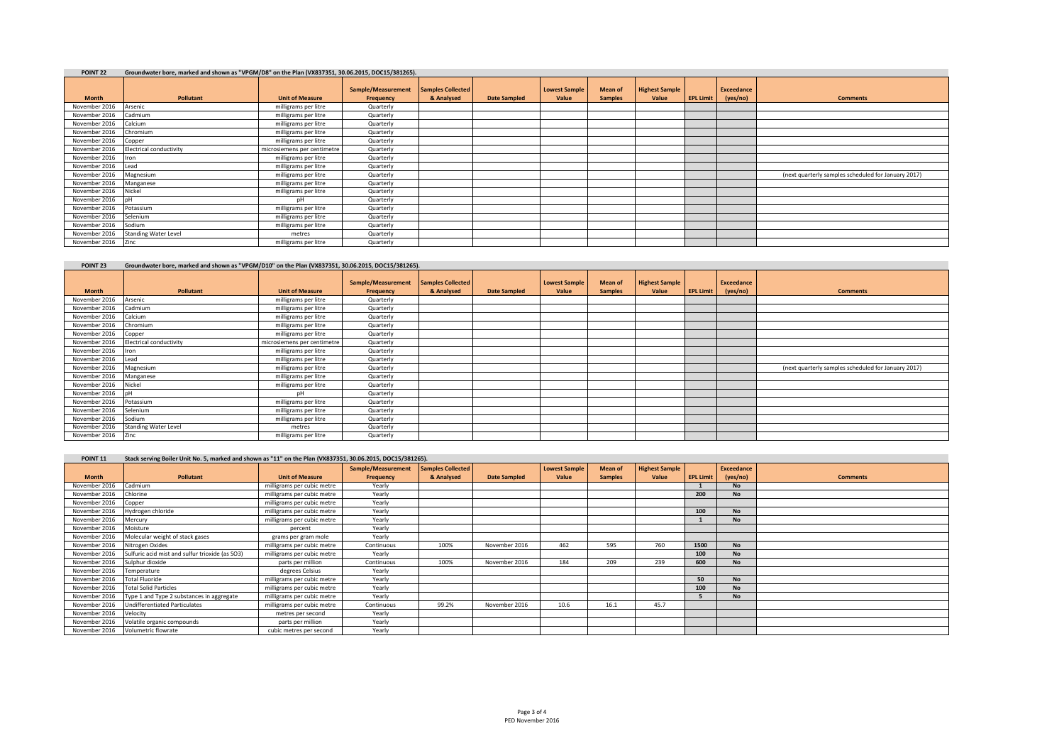| POINT <sub>22</sub> | Groundwater bore, marked and shown as "VPGM/D8" on the Plan (VX837351, 30.06.2015, DOC15/381265). |                             |                                 |                                        |                     |                               |                           |                                |                  |                               |                                                     |
|---------------------|---------------------------------------------------------------------------------------------------|-----------------------------|---------------------------------|----------------------------------------|---------------------|-------------------------------|---------------------------|--------------------------------|------------------|-------------------------------|-----------------------------------------------------|
| <b>Month</b>        | Pollutant                                                                                         | <b>Unit of Measure</b>      | Sample/Measurement<br>Frequency | <b>Samples Collected</b><br>& Analysed | <b>Date Sampled</b> | <b>Lowest Sample</b><br>Value | Mean of<br><b>Samples</b> | <b>Highest Sample</b><br>Value | <b>EPL Limit</b> | <b>Exceedance</b><br>(yes/no) | <b>Comments</b>                                     |
| November 2016       | Arsenic                                                                                           | milligrams per litre        | Quarterly                       |                                        |                     |                               |                           |                                |                  |                               |                                                     |
| November 2016       | Cadmium                                                                                           | milligrams per litre        | Quarterly                       |                                        |                     |                               |                           |                                |                  |                               |                                                     |
| November 2016       | Calcium                                                                                           | milligrams per litre        | Quarterly                       |                                        |                     |                               |                           |                                |                  |                               |                                                     |
| November 2016       | Chromium                                                                                          | milligrams per litre        | Quarterly                       |                                        |                     |                               |                           |                                |                  |                               |                                                     |
| November 2016       | Copper                                                                                            | milligrams per litre        | Quarterly                       |                                        |                     |                               |                           |                                |                  |                               |                                                     |
| November 2016       | <b>Electrical conductivity</b>                                                                    | microsiemens per centimetre | Quarterly                       |                                        |                     |                               |                           |                                |                  |                               |                                                     |
| November 2016       | Iron                                                                                              | milligrams per litre        | Quarterly                       |                                        |                     |                               |                           |                                |                  |                               |                                                     |
| November 2016       | Lead                                                                                              | milligrams per litre        | Quarterly                       |                                        |                     |                               |                           |                                |                  |                               |                                                     |
| November 2016       | Magnesium                                                                                         | milligrams per litre        | Quarterly                       |                                        |                     |                               |                           |                                |                  |                               | (next quarterly samples scheduled for January 2017) |
| November 2016       | Manganese                                                                                         | milligrams per litre        | Quarterly                       |                                        |                     |                               |                           |                                |                  |                               |                                                     |
| November 2016       | Nickel                                                                                            | milligrams per litre        | Quarterly                       |                                        |                     |                               |                           |                                |                  |                               |                                                     |
| November 2016       | nH                                                                                                | pН                          | Quarterly                       |                                        |                     |                               |                           |                                |                  |                               |                                                     |
| November 2016       | Potassium                                                                                         | milligrams per litre        | Quarterly                       |                                        |                     |                               |                           |                                |                  |                               |                                                     |
| November 2016       | Selenium                                                                                          | milligrams per litre        | Quarterly                       |                                        |                     |                               |                           |                                |                  |                               |                                                     |
| November 2016       | Sodium                                                                                            | milligrams per litre        | Quarterly                       |                                        |                     |                               |                           |                                |                  |                               |                                                     |
| November 2016       | <b>Standing Water Level</b>                                                                       | metres                      | Quarterly                       |                                        |                     |                               |                           |                                |                  |                               |                                                     |
| November 2016       | Zinc                                                                                              | milligrams per litre        | Quarterly                       |                                        |                     |                               |                           |                                |                  |                               |                                                     |

| POINT <sub>23</sub> | Groundwater bore, marked and shown as "VPGM/D10" on the Plan (VX837351, 30.06.2015, DOC15/381265). |                             |                                 |                                 |                     |                               |                           |                                |                  |                        |                                                     |
|---------------------|----------------------------------------------------------------------------------------------------|-----------------------------|---------------------------------|---------------------------------|---------------------|-------------------------------|---------------------------|--------------------------------|------------------|------------------------|-----------------------------------------------------|
| <b>Month</b>        | Pollutant                                                                                          | <b>Unit of Measure</b>      | Sample/Measurement<br>Frequency | Samples Collected<br>& Analysed | <b>Date Sampled</b> | <b>Lowest Sample</b><br>Value | Mean of<br><b>Samples</b> | <b>Highest Sample</b><br>Value | <b>EPL Limit</b> | Exceedance<br>(yes/no) | <b>Comments</b>                                     |
| November 2016       | Arsenic                                                                                            | milligrams per litre        | Quarterly                       |                                 |                     |                               |                           |                                |                  |                        |                                                     |
| November 2016       | Cadmium                                                                                            | milligrams per litre        | Quarterly                       |                                 |                     |                               |                           |                                |                  |                        |                                                     |
| November 2016       | Calcium                                                                                            | milligrams per litre        | Quarterly                       |                                 |                     |                               |                           |                                |                  |                        |                                                     |
| November 2016       | Chromium                                                                                           | milligrams per litre        | Quarterly                       |                                 |                     |                               |                           |                                |                  |                        |                                                     |
| November 2016       | Copper                                                                                             | milligrams per litre        | Quarterly                       |                                 |                     |                               |                           |                                |                  |                        |                                                     |
| November 2016       | <b>Electrical conductivity</b>                                                                     | microsiemens per centimetre | Quarterly                       |                                 |                     |                               |                           |                                |                  |                        |                                                     |
| November 2016       | llron                                                                                              | milligrams per litre        | Quarterly                       |                                 |                     |                               |                           |                                |                  |                        |                                                     |
| November 2016       | Lead                                                                                               | milligrams per litre        | Quarterly                       |                                 |                     |                               |                           |                                |                  |                        |                                                     |
| November 2016       | Magnesium                                                                                          | milligrams per litre        | Quarterly                       |                                 |                     |                               |                           |                                |                  |                        | (next quarterly samples scheduled for January 2017) |
| November 2016       | Manganese                                                                                          | milligrams per litre        | Quarterly                       |                                 |                     |                               |                           |                                |                  |                        |                                                     |
| November 2016       | Nickel                                                                                             | milligrams per litre        | Quarterly                       |                                 |                     |                               |                           |                                |                  |                        |                                                     |
| November 2016       | <b>InH</b>                                                                                         | pН                          | Quarterly                       |                                 |                     |                               |                           |                                |                  |                        |                                                     |
| November 2016       | Potassium                                                                                          | milligrams per litre        | Quarterly                       |                                 |                     |                               |                           |                                |                  |                        |                                                     |
| November 2016       | Selenium                                                                                           | milligrams per litre        | Quarterly                       |                                 |                     |                               |                           |                                |                  |                        |                                                     |
| November 2016       | Sodium                                                                                             | milligrams per litre        | Quarterly                       |                                 |                     |                               |                           |                                |                  |                        |                                                     |
| November 2016       | <b>Standing Water Level</b>                                                                        | metres                      | Quarterly                       |                                 |                     |                               |                           |                                |                  |                        |                                                     |
| November 2016 Zinc  |                                                                                                    | milligrams per litre        | Quarterly                       |                                 |                     |                               |                           |                                |                  |                        |                                                     |

| POINT <sub>11</sub> | Stack serving Boiler Unit No. 5, marked and shown as "11" on the Plan (VX837351, 30.06.2015, DOC15/381265). |                            |                    |                          |                     |                      |                |                       |                  |            |                 |
|---------------------|-------------------------------------------------------------------------------------------------------------|----------------------------|--------------------|--------------------------|---------------------|----------------------|----------------|-----------------------|------------------|------------|-----------------|
|                     |                                                                                                             |                            | Sample/Measurement | <b>Samples Collected</b> |                     | <b>Lowest Sample</b> | Mean of        | <b>Highest Sample</b> |                  | Exceedance |                 |
| <b>Month</b>        | <b>Pollutant</b>                                                                                            | <b>Unit of Measure</b>     | Frequency          | & Analysed               | <b>Date Sampled</b> | Value                | <b>Samples</b> | Value                 | <b>EPL Limit</b> | (yes/no)   | <b>Comments</b> |
| November 2016       | Cadmium                                                                                                     | milligrams per cubic metre | Yearly             |                          |                     |                      |                |                       |                  | <b>No</b>  |                 |
| November 2016       | Chlorine                                                                                                    | milligrams per cubic metre | Yearly             |                          |                     |                      |                |                       | 200              | <b>No</b>  |                 |
| November 2016       | Copper                                                                                                      | milligrams per cubic metre | Yearly             |                          |                     |                      |                |                       |                  |            |                 |
| November 2016       | Hydrogen chloride                                                                                           | milligrams per cubic metre | Yearly             |                          |                     |                      |                |                       | 100              | <b>No</b>  |                 |
| November 2016       | Mercury                                                                                                     | milligrams per cubic metre | Yearly             |                          |                     |                      |                |                       |                  | <b>No</b>  |                 |
| November 2016       | Moisture                                                                                                    | percent                    | Yearly             |                          |                     |                      |                |                       |                  |            |                 |
| November 2016       | Molecular weight of stack gases                                                                             | grams per gram mole        | Yearly             |                          |                     |                      |                |                       |                  |            |                 |
| November 2016       | Nitrogen Oxides                                                                                             | milligrams per cubic metre | Continuous         | 100%                     | November 2016       | 462                  | 595            | 760                   | 1500             | <b>No</b>  |                 |
| November 2016       | Sulfuric acid mist and sulfur trioxide (as SO3)                                                             | milligrams per cubic metre | Yearly             |                          |                     |                      |                |                       | 100              | <b>No</b>  |                 |
| November 2016       | Sulphur dioxide                                                                                             | parts per million          | Continuous         | 100%                     | November 2016       | 184                  | 209            | 239                   | 600              | <b>No</b>  |                 |
| November 2016       | Temperature                                                                                                 | degrees Celsius            | Yearly             |                          |                     |                      |                |                       |                  |            |                 |
| November 2016       | Total Fluoride                                                                                              | milligrams per cubic metre | Yearly             |                          |                     |                      |                |                       | 50               | <b>No</b>  |                 |
| November 2016       | <b>Total Solid Particles</b>                                                                                | milligrams per cubic metre | Yearly             |                          |                     |                      |                |                       | 100              | <b>No</b>  |                 |
| November 2016       | Type 1 and Type 2 substances in aggregate                                                                   | milligrams per cubic metre | Yearly             |                          |                     |                      |                |                       |                  | <b>No</b>  |                 |
| November 2016       | <b>Undifferentiated Particulates</b>                                                                        | milligrams per cubic metre | Continuous         | 99.2%                    | November 2016       | 10.6                 | 16.1           | 45.7                  |                  |            |                 |
| November 2016       | Velocity                                                                                                    | metres per second          | Yearly             |                          |                     |                      |                |                       |                  |            |                 |
| November 2016       | Volatile organic compounds                                                                                  | parts per million          | Yearly             |                          |                     |                      |                |                       |                  |            |                 |
| November 2016       | Volumetric flowrate                                                                                         | cubic metres per second    | Yearly             |                          |                     |                      |                |                       |                  |            |                 |